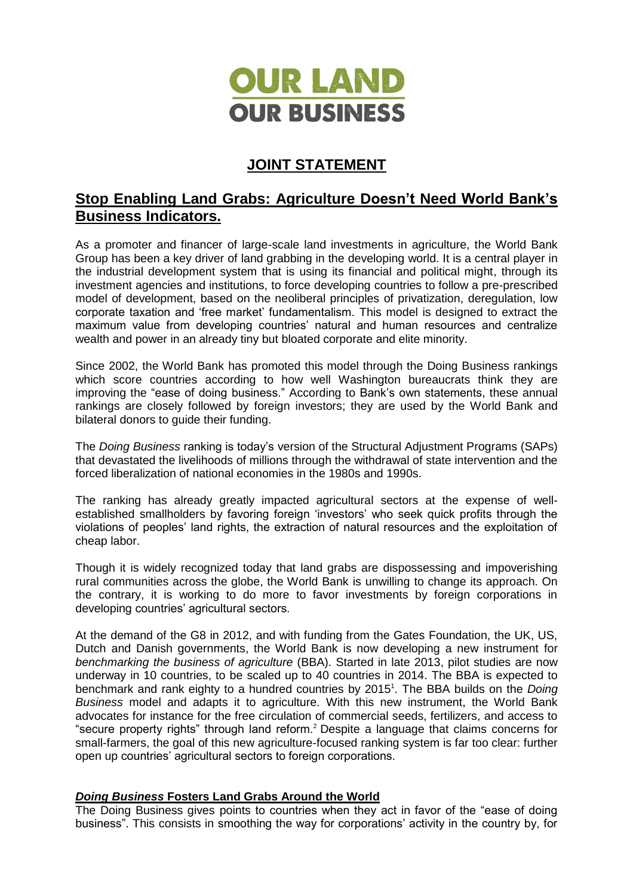

# **JOINT STATEMENT**

## **Stop Enabling Land Grabs: Agriculture Doesn't Need World Bank's Business Indicators.**

As a promoter and financer of large-scale land investments in agriculture, the World Bank Group has been a key driver of land grabbing in the developing world. It is a central player in the industrial development system that is using its financial and political might, through its investment agencies and institutions, to force developing countries to follow a pre-prescribed model of development, based on the neoliberal principles of privatization, deregulation, low corporate taxation and 'free market' fundamentalism. This model is designed to extract the maximum value from developing countries' natural and human resources and centralize wealth and power in an already tiny but bloated corporate and elite minority.

Since 2002, the World Bank has promoted this model through the Doing Business rankings which score countries according to how well Washington bureaucrats think they are improving the "ease of doing business." According to Bank's own statements, these annual rankings are closely followed by foreign investors; they are used by the World Bank and bilateral donors to guide their funding.

The *Doing Business* ranking is today's version of the Structural Adjustment Programs (SAPs) that devastated the livelihoods of millions through the withdrawal of state intervention and the forced liberalization of national economies in the 1980s and 1990s.

The ranking has already greatly impacted agricultural sectors at the expense of wellestablished smallholders by favoring foreign 'investors' who seek quick profits through the violations of peoples' land rights, the extraction of natural resources and the exploitation of cheap labor.

Though it is widely recognized today that land grabs are dispossessing and impoverishing rural communities across the globe, the World Bank is unwilling to change its approach. On the contrary, it is working to do more to favor investments by foreign corporations in developing countries' agricultural sectors.

At the demand of the G8 in 2012, and with funding from the Gates Foundation, the UK, US, Dutch and Danish governments, the World Bank is now developing a new instrument for *benchmarking the business of agriculture* (BBA). Started in late 2013, pilot studies are now underway in 10 countries, to be scaled up to 40 countries in 2014. The BBA is expected to benchmark and rank eighty to a hundred countries by 2015<sup>1</sup>. The BBA builds on the *Doing Business* model and adapts it to agriculture. With this new instrument, the World Bank advocates for instance for the free circulation of commercial seeds, fertilizers, and access to "secure property rights" through land reform.<sup>2</sup> Despite a language that claims concerns for small-farmers, the goal of this new agriculture-focused ranking system is far too clear: further open up countries' agricultural sectors to foreign corporations.

#### *Doing Business* **Fosters Land Grabs Around the World**

The Doing Business gives points to countries when they act in favor of the "ease of doing business". This consists in smoothing the way for corporations' activity in the country by, for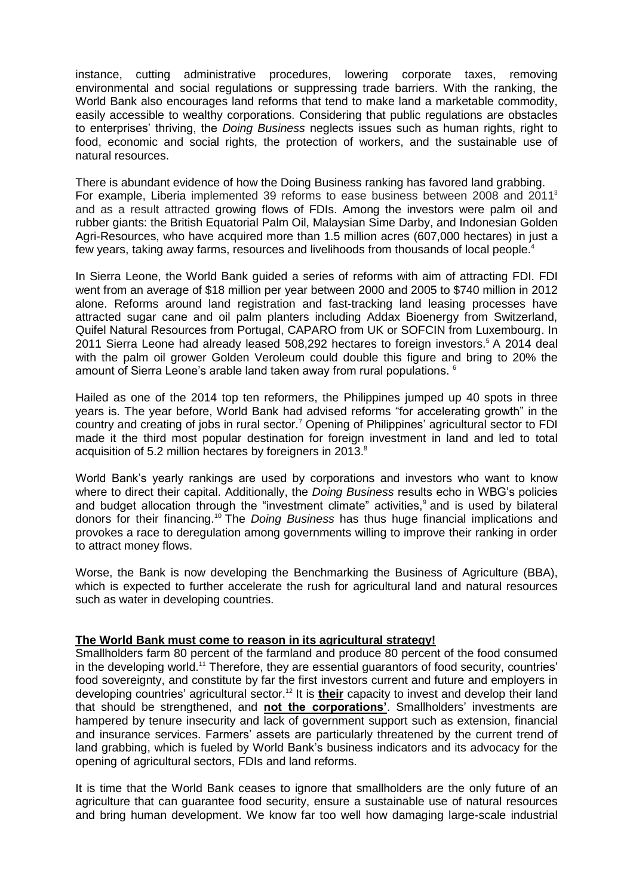instance, cutting administrative procedures, lowering corporate taxes, removing environmental and social regulations or suppressing trade barriers. With the ranking, the World Bank also encourages land reforms that tend to make land a marketable commodity, easily accessible to wealthy corporations. Considering that public regulations are obstacles to enterprises' thriving, the *Doing Business* neglects issues such as human rights, right to food, economic and social rights, the protection of workers, and the sustainable use of natural resources.

There is abundant evidence of how the Doing Business ranking has favored land grabbing. For example, Liberia implemented 39 reforms to ease business between 2008 and 2011<sup>3</sup> and as a result attracted growing flows of FDIs. Among the investors were palm oil and rubber giants: the British Equatorial Palm Oil, Malaysian Sime Darby, and Indonesian Golden Agri-Resources, who have acquired more than 1.5 million acres (607,000 hectares) in just a few years, taking away farms, resources and livelihoods from thousands of local people. 4

In Sierra Leone, the World Bank guided a series of reforms with aim of attracting FDI. FDI went from an average of \$18 million per year between 2000 and 2005 to \$740 million in 2012 alone. Reforms around land registration and fast-tracking land leasing processes have attracted sugar cane and oil palm planters including Addax Bioenergy from Switzerland, Quifel Natural Resources from Portugal, CAPARO from UK or SOFCIN from Luxembourg. In 2011 Sierra Leone had already leased 508,292 hectares to foreign investors. <sup>5</sup> A 2014 deal with the palm oil grower Golden Veroleum could double this figure and bring to 20% the amount of Sierra Leone's arable land taken away from rural populations. <sup>6</sup>

Hailed as one of the 2014 top ten reformers, the Philippines jumped up 40 spots in three years is. The year before, World Bank had advised reforms "for accelerating growth" in the country and creating of jobs in rural sector.<sup>7</sup> Opening of Philippines' agricultural sector to FDI made it the third most popular destination for foreign investment in land and led to total acquisition of 5.2 million hectares by foreigners in 2013. $^{\circ}$ 

World Bank's yearly rankings are used by corporations and investors who want to know where to direct their capital. Additionally, the *Doing Business* results echo in WBG's policies and budget allocation through the "investment climate" activities, $9$  and is used by bilateral donors for their financing.<sup>10</sup> The *Doing Business* has thus huge financial implications and provokes a race to deregulation among governments willing to improve their ranking in order to attract money flows.

Worse, the Bank is now developing the Benchmarking the Business of Agriculture (BBA), which is expected to further accelerate the rush for agricultural land and natural resources such as water in developing countries.

#### **The World Bank must come to reason in its agricultural strategy!**

Smallholders farm 80 percent of the farmland and produce 80 percent of the food consumed in the developing world.<sup>11</sup> Therefore, they are essential guarantors of food security, countries' food sovereignty, and constitute by far the first investors current and future and employers in developing countries' agricultural sector. <sup>12</sup> It is **their** capacity to invest and develop their land that should be strengthened, and **not the corporations'**. Smallholders' investments are hampered by tenure insecurity and lack of government support such as extension, financial and insurance services. Farmers' assets are particularly threatened by the current trend of land grabbing, which is fueled by World Bank's business indicators and its advocacy for the opening of agricultural sectors, FDIs and land reforms.

It is time that the World Bank ceases to ignore that smallholders are the only future of an agriculture that can guarantee food security, ensure a sustainable use of natural resources and bring human development. We know far too well how damaging large-scale industrial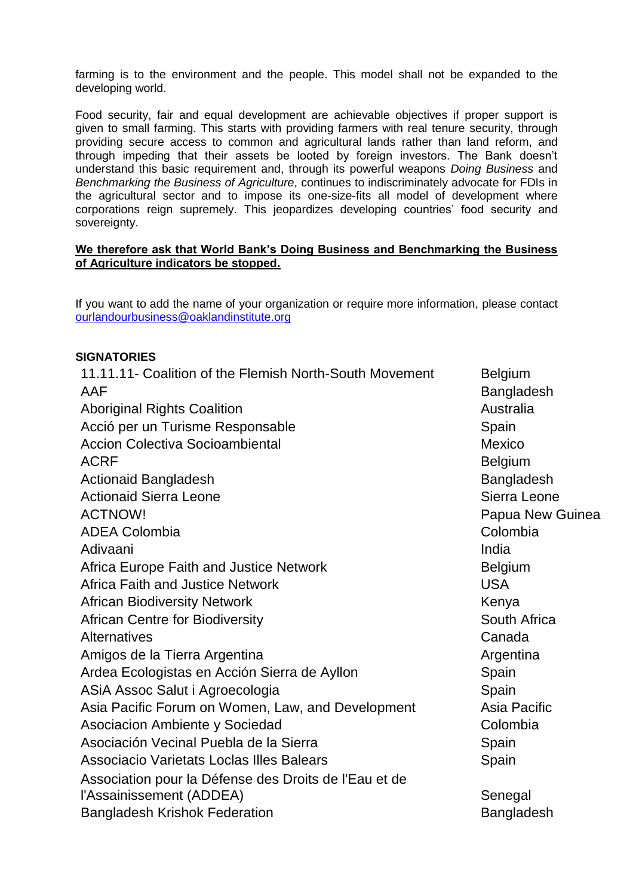farming is to the environment and the people. This model shall not be expanded to the developing world.

Food security, fair and equal development are achievable objectives if proper support is given to small farming. This starts with providing farmers with real tenure security, through providing secure access to common and agricultural lands rather than land reform, and through impeding that their assets be looted by foreign investors. The Bank doesn't understand this basic requirement and, through its powerful weapons *Doing Business* and *Benchmarking the Business of Agriculture*, continues to indiscriminately advocate for FDIs in the agricultural sector and to impose its one-size-fits all model of development where corporations reign supremely. This jeopardizes developing countries' food security and sovereignty.

#### **We therefore ask that World Bank's Doing Business and Benchmarking the Business of Agriculture indicators be stopped.**

If you want to add the name of your organization or require more information, please contact [ourlandourbusiness@oaklandinstitute.org](mailto:ourlandourbusiness@oaklandinstitute.org)

### **SIGNATORIES**

| 11.11.11- Coalition of the Flemish North-South Movement | <b>Belgium</b>    |
|---------------------------------------------------------|-------------------|
| AAF                                                     | Bangladesh        |
| <b>Aboriginal Rights Coalition</b>                      | Australia         |
| Acció per un Turisme Responsable                        | Spain             |
| <b>Accion Colectiva Socioambiental</b>                  | Mexico            |
| <b>ACRF</b>                                             | <b>Belgium</b>    |
| <b>Actionaid Bangladesh</b>                             | Bangladesh        |
| <b>Actionaid Sierra Leone</b>                           | Sierra Leone      |
| <b>ACTNOW!</b>                                          | Papua New Guinea  |
| <b>ADEA Colombia</b>                                    | Colombia          |
| Adivaani                                                | India             |
| <b>Africa Europe Faith and Justice Network</b>          | <b>Belgium</b>    |
| <b>Africa Faith and Justice Network</b>                 | <b>USA</b>        |
| <b>African Biodiversity Network</b>                     | Kenya             |
| <b>African Centre for Biodiversity</b>                  | South Africa      |
| <b>Alternatives</b>                                     | Canada            |
| Amigos de la Tierra Argentina                           | Argentina         |
| Ardea Ecologistas en Acción Sierra de Ayllon            | Spain             |
| ASiA Assoc Salut i Agroecologia                         | Spain             |
| Asia Pacific Forum on Women, Law, and Development       | Asia Pacific      |
| Asociacion Ambiente y Sociedad                          | Colombia          |
| Asociación Vecinal Puebla de la Sierra                  | Spain             |
| Associacio Varietats Loclas Illes Balears               | Spain             |
| Association pour la Défense des Droits de l'Eau et de   |                   |
| l'Assainissement (ADDEA)                                | Senegal           |
| <b>Bangladesh Krishok Federation</b>                    | <b>Bangladesh</b> |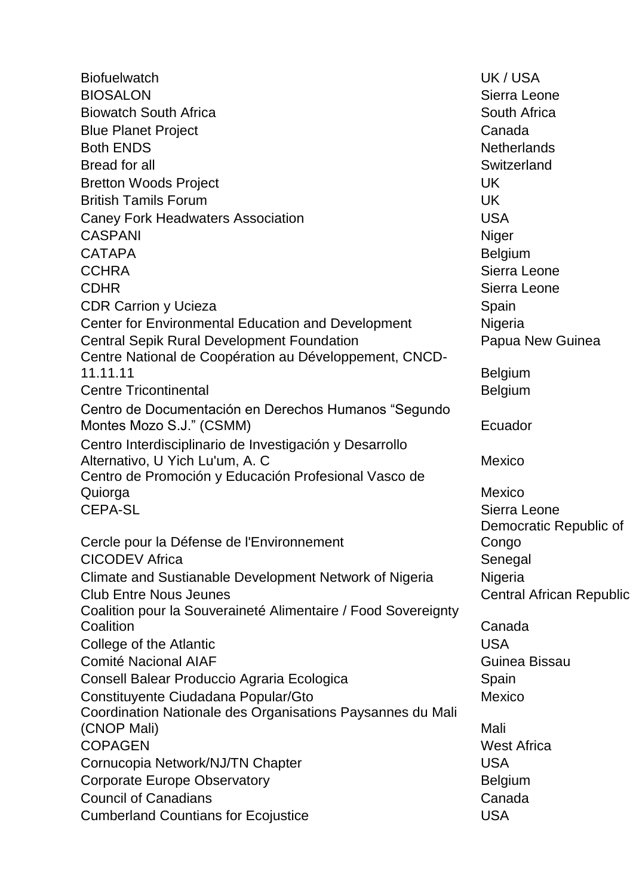| <b>Biofuelwatch</b>                                                              | UK/USA                          |
|----------------------------------------------------------------------------------|---------------------------------|
| <b>BIOSALON</b>                                                                  | Sierra Leone                    |
| <b>Biowatch South Africa</b>                                                     | South Africa                    |
| <b>Blue Planet Project</b>                                                       | Canada                          |
| <b>Both ENDS</b>                                                                 | <b>Netherlands</b>              |
| <b>Bread for all</b>                                                             | Switzerland                     |
| <b>Bretton Woods Project</b>                                                     | <b>UK</b>                       |
| <b>British Tamils Forum</b>                                                      | <b>UK</b>                       |
| <b>Caney Fork Headwaters Association</b>                                         | <b>USA</b>                      |
| <b>CASPANI</b>                                                                   | Niger                           |
| <b>CATAPA</b>                                                                    | <b>Belgium</b>                  |
| <b>CCHRA</b>                                                                     | Sierra Leone                    |
| <b>CDHR</b>                                                                      | Sierra Leone                    |
| <b>CDR Carrion y Ucieza</b>                                                      | Spain                           |
| Center for Environmental Education and Development                               | Nigeria                         |
| <b>Central Sepik Rural Development Foundation</b>                                | Papua New Guinea                |
| Centre National de Coopération au Développement, CNCD-                           |                                 |
| 11.11.11                                                                         | <b>Belgium</b>                  |
| <b>Centre Tricontinental</b>                                                     | <b>Belgium</b>                  |
| Centro de Documentación en Derechos Humanos "Segundo<br>Montes Mozo S.J." (CSMM) | Ecuador                         |
| Centro Interdisciplinario de Investigación y Desarrollo                          |                                 |
| Alternativo, U Yich Lu'um, A. C                                                  | <b>Mexico</b>                   |
| Centro de Promoción y Educación Profesional Vasco de<br>Quiorga                  | <b>Mexico</b>                   |
| <b>CEPA-SL</b>                                                                   | Sierra Leone                    |
|                                                                                  | Democratic Republic of          |
| Cercle pour la Défense de l'Environnement                                        | Congo                           |
| <b>CICODEV Africa</b>                                                            | Senegal                         |
| Climate and Sustianable Development Network of Nigeria                           | Nigeria                         |
| <b>Club Entre Nous Jeunes</b>                                                    | <b>Central African Republic</b> |
| Coalition pour la Souveraineté Alimentaire / Food Sovereignty                    |                                 |
| Coalition                                                                        | Canada                          |
| College of the Atlantic                                                          | <b>USA</b>                      |
| Comité Nacional AIAF                                                             | Guinea Bissau                   |
| Consell Balear Produccio Agraria Ecologica                                       | Spain                           |
| Constituyente Ciudadana Popular/Gto                                              | <b>Mexico</b>                   |
| Coordination Nationale des Organisations Paysannes du Mali                       |                                 |
| (CNOP Mali)                                                                      | Mali                            |
| <b>COPAGEN</b>                                                                   | <b>West Africa</b>              |
| Cornucopia Network/NJ/TN Chapter                                                 | <b>USA</b>                      |
| <b>Corporate Europe Observatory</b>                                              | <b>Belgium</b>                  |
| <b>Council of Canadians</b>                                                      | Canada                          |
| <b>Cumberland Countians for Ecojustice</b>                                       | <b>USA</b>                      |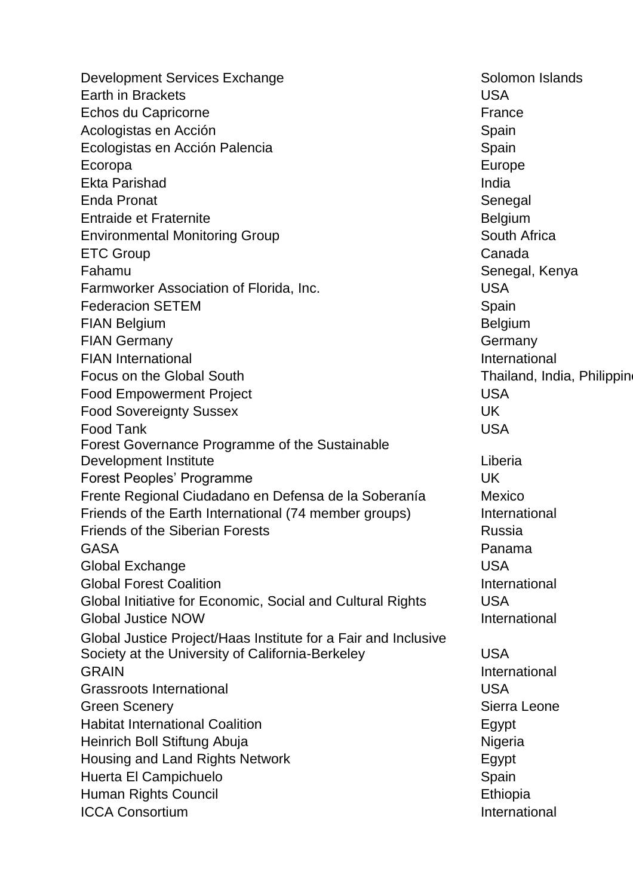| Development Services Exchange                                  | Solomon Islands            |
|----------------------------------------------------------------|----------------------------|
| Earth in Brackets                                              | <b>USA</b>                 |
| Echos du Capricorne                                            | France                     |
| Acologistas en Acción                                          | Spain                      |
| Ecologistas en Acción Palencia                                 | Spain                      |
| Ecoropa                                                        | Europe                     |
| <b>Ekta Parishad</b>                                           | India                      |
| <b>Enda Pronat</b>                                             | Senegal                    |
| <b>Entraide et Fraternite</b>                                  | <b>Belgium</b>             |
| <b>Environmental Monitoring Group</b>                          | South Africa               |
| <b>ETC Group</b>                                               | Canada                     |
| Fahamu                                                         | Senegal, Kenya             |
| Farmworker Association of Florida, Inc.                        | <b>USA</b>                 |
| <b>Federacion SETEM</b>                                        | Spain                      |
| <b>FIAN Belgium</b>                                            | <b>Belgium</b>             |
| <b>FIAN Germany</b>                                            | Germany                    |
| <b>FIAN International</b>                                      | International              |
| Focus on the Global South                                      | Thailand, India, Philippin |
| <b>Food Empowerment Project</b>                                | <b>USA</b>                 |
| <b>Food Sovereignty Sussex</b>                                 | <b>UK</b>                  |
| <b>Food Tank</b>                                               | <b>USA</b>                 |
| Forest Governance Programme of the Sustainable                 |                            |
| Development Institute                                          | Liberia                    |
| Forest Peoples' Programme                                      | <b>UK</b>                  |
| Frente Regional Ciudadano en Defensa de la Soberanía           | <b>Mexico</b>              |
| Friends of the Earth International (74 member groups)          | International              |
| <b>Friends of the Siberian Forests</b>                         | Russia                     |
| GASA                                                           | Panama                     |
| Global Exchange                                                | <b>USA</b>                 |
| <b>Global Forest Coalition</b>                                 | International              |
| Global Initiative for Economic, Social and Cultural Rights     | <b>USA</b>                 |
| <b>Global Justice NOW</b>                                      | International              |
| Global Justice Project/Haas Institute for a Fair and Inclusive |                            |
| Society at the University of California-Berkeley               | <b>USA</b>                 |
| <b>GRAIN</b>                                                   | International              |
| <b>Grassroots International</b>                                | <b>USA</b>                 |
| <b>Green Scenery</b>                                           | Sierra Leone               |
| <b>Habitat International Coalition</b>                         | Egypt                      |
| Heinrich Boll Stiftung Abuja                                   | Nigeria                    |
| Housing and Land Rights Network                                | Egypt                      |
| Huerta El Campichuelo                                          | Spain                      |
| <b>Human Rights Council</b>                                    | Ethiopia                   |
| <b>ICCA Consortium</b>                                         | International              |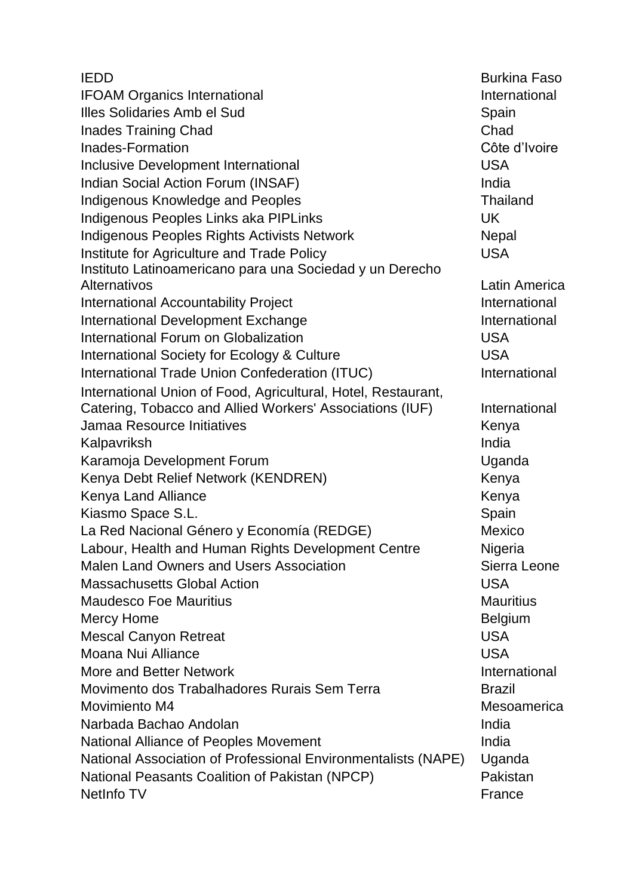IEDD Burkina Faso IFOAM Organics International **IFOAM** Organics International Illes Solidaries Amb el Sud Spain Inades Training Chad Chad Inades-Formation and a control of the Côte d'Ivoire **Inclusive Development International COVID-100 COVID-100 COVID-100 COVID-100 COVID-100 COVID-100 COVID-100 COVID-**Indian Social Action Forum (INSAF) India Indigenous Knowledge and Peoples Thailand Indigenous Peoples Links aka PIPLinks and Manuscript Controller UK Indigenous Peoples Rights Activists Network Nepal Institute for Agriculture and Trade Policy **Institute COVID-** USA Instituto Latinoamericano para una Sociedad y un Derecho Alternativos Latin America International Accountability Project **International** International Development Exchange **International** International Forum on Globalization USA International Society for Ecology & Culture **International Society for Ecology & Culture** International Trade Union Confederation (ITUC) liternational International Union of Food, Agricultural, Hotel, Restaurant, Catering, Tobacco and Allied Workers' Associations (IUF) International Jamaa Resource Initiatives **Kenya** Kenya Kalpavriksh **India** Karamoja Development Forum Version Communication Communication Uganda Kenya Debt Relief Network (KENDREN) Kenya Kenya Land Alliance **Kenya Kenya** Kiasmo Space S.L. Spain La Red Nacional Género y Economía (REDGE) Mexico Labour, Health and Human Rights Development Centre Nigeria Malen Land Owners and Users Association The Contract Contract Contract Sierra Leone Massachusetts Global Action USA Maudesco Foe Mauritius Mauritius Mercy Home **Belgium** Mescal Canyon Retreat New York 1988 Network and NSA Moana Nui Alliance **USA** More and Better Network **International** Movimento dos Trabalhadores Rurais Sem Terra **Brazil** Movimiento M4 Mesoamerica Narbada Bachao Andolan **India** India National Alliance of Peoples Movement India National Association of Professional Environmentalists (NAPE) Uganda National Peasants Coalition of Pakistan (NPCP) Pakistan NetInfo TV **France**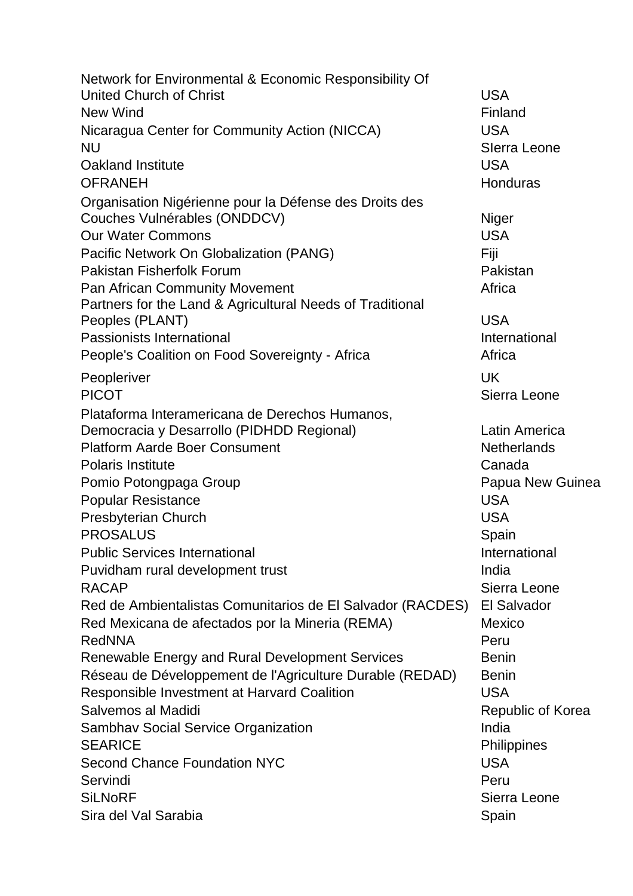Network for Environmental & Economic Responsibility Of United Church of Christ Christ Changes and Changes USA New Wind **Finland** Nicaragua Center for Community Action (NICCA) USA NU SIerra Leone Oakland Institute USA OFRANEH Honduras and the contract of the contract of the contract of the contract of the contract of the contract of the contract of the contract of the contract of the contract of the contract of the contract of the contr Organisation Nigérienne pour la Défense des Droits des Couches Vulnérables (ONDDCV) Niger **Our Water Commons USA** Pacific Network On Globalization (PANG) Fiji Pakistan Fisherfolk Forum **Pakistan** Pakistan Pan African Community Movement **Africa** Africa Partners for the Land & Agricultural Needs of Traditional Peoples (PLANT) USA Passionists International **International** International International People's Coalition on Food Sovereignty - Africa Africa Peopleriver UK PICOT Sierra Leone Plataforma Interamericana de Derechos Humanos, Democracia y Desarrollo (PIDHDD Regional) Latin America Platform Aarde Boer Consument Netherlands Polaris Institute Canada Pomio Potongpaga Group **Papua New Guinea** Popular Resistance USA Presbyterian Church USA PROSALUS Spain Public Services International **International** International Puvidham rural development trust India RACAP Sierra Leone Red de Ambientalistas Comunitarios de El Salvador (RACDES) El Salvador Red Mexicana de afectados por la Mineria (REMA) Mexico RedNNA Peru Renewable Energy and Rural Development Services Benin Réseau de Développement de l'Agriculture Durable (REDAD) Benin Responsible Investment at Harvard Coalition **Example 2018** USA Salvemos al Madidi **Republic of Korea** Sambhav Social Service Organization **India** SEARICE Philippines Second Chance Foundation NYC USA Servindi Peru SiLNoRF SiLNoRF Silno Sierra Leone Sira del Val Sarabia e controllato del sulla sulla sulla sulla sulla sulla sulla sulla sulla sulla sulla sulla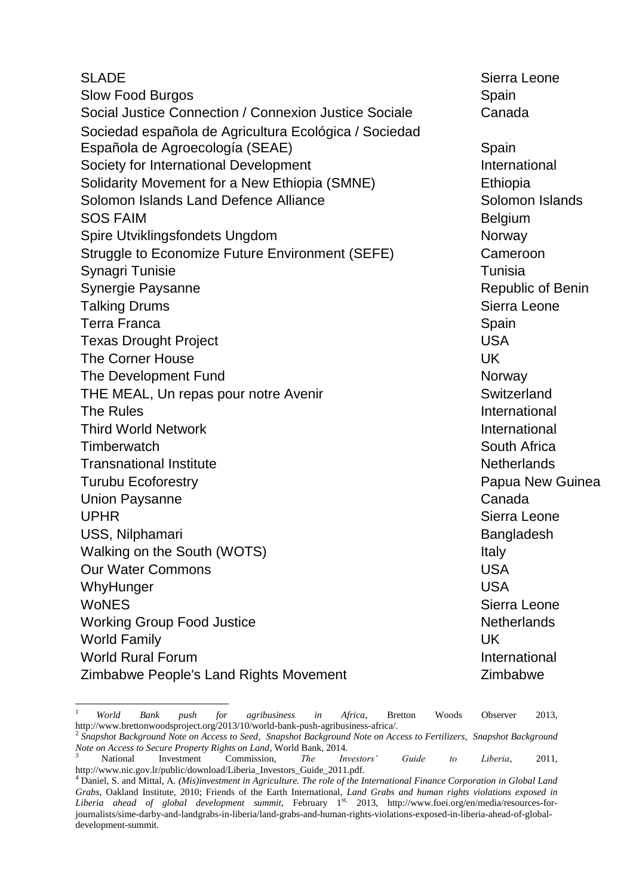SIADE SIADE SIADE SIERRE SIERRE SIERRE SIERRE SIERRE SIERRE SIERRE SIERRE SIERRE SIERRE SIERRE SIERRE SIERRE S Slow Food Burgos Spain Social Justice Connection / Connexion Justice Sociale Canada Sociedad española de Agricultura Ecológica / Sociedad Española de Agroecología (SEAE) Spain Society for International Development **International** Solidarity Movement for a New Ethiopia (SMNE) Ethiopia Solomon Islands Land Defence Alliance Solomon Islands SOS FAIM Belgium Spire Utviklingsfondets Ungdom Norway Struggle to Economize Future Environment (SEFE) Cameroon Synagri Tunisie Tunisie Tunisia Synergie Paysanne **Republic of Benin** Talking Drums **Sierra Leone** Terra Franca **Spain** Texas Drought Project **USA** The Corner House UK The Development Fund Norway THE MEAL, Un repas pour notre Avenir measured and Switzerland The Rules **International** Third World Network **International** Timberwatch **South Africa** South Africa Transnational Institute Transnational Institute Netherlands Turubu Ecoforestry **Papua New Guinea** Union Paysanne **Canada** UPHR Sierra Leone USS, Nilphamari Bangladesh Walking on the South (WOTS) **Italy** Italy **Our Water Commons USA** WhyHunger USA WoNES Sierra Leone Working Group Food Justice Netherlands World Family **UK** World Rural Forum and the contractional contractional contractional contractional Zimbabwe People's Land Rights Movement Zimbabwe

<sup>1</sup> *World Bank push for agribusiness in Africa*, Bretton Woods Observer 2013, http://www.brettonwoodsproject.org/2013/10/world-bank-push-agribusiness-africa/. 2 *Snapshot Background Note on Access to Seed*, *Snapshot Background Note on Access to Fertilizers, Snapshot Background* 

*Note on Access to Secure Property Rights on Land*, World Bank, 2014. <sup>3</sup> National Investment Commission, *The Investors' Guide to Liberia*, 2011, [http://www.nic.gov.lr/public/download/Liberia\\_Investors\\_Guide\\_2011.pdf.](http://www.nic.gov.lr/public/download/Liberia_Investors_Guide_2011.pdf)

<sup>4</sup> Daniel, S. and Mittal, A. *(Mis)investment in Agriculture. The role of the International Finance Corporation in Global Land Grabs*, Oakland Institute, 2010; Friends of the Earth International, *Land Grabs and human rights violations exposed in Liberia ahead of global development summit,* February 1st, 2013, http://www.foei.org/en/media/resources-forjournalists/sime-darby-and-landgrabs-in-liberia/land-grabs-and-human-rights-violations-exposed-in-liberia-ahead-of-globaldevelopment-summit.